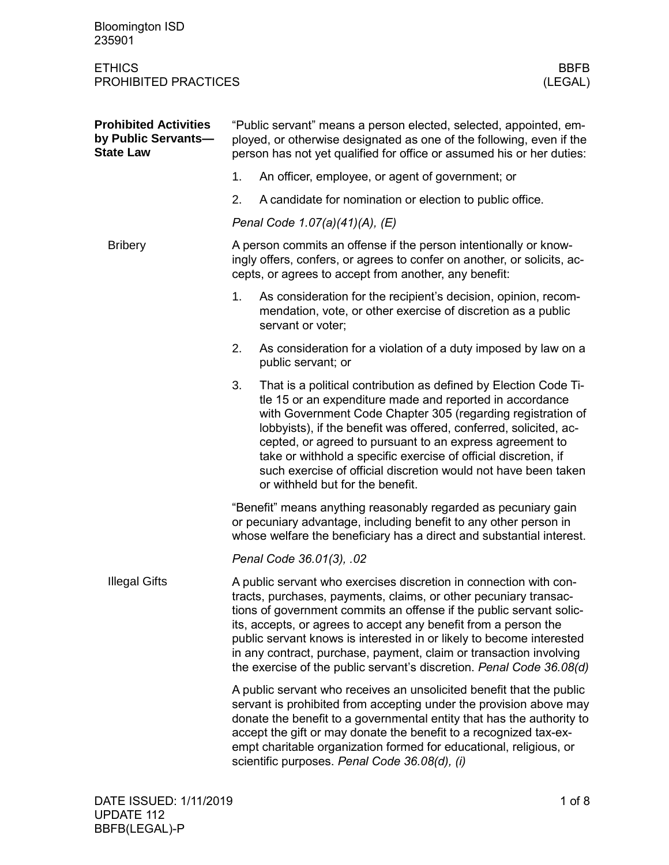| <b>Bloomington ISD</b><br>235901                                        |                                                                                                                                                                                                                                                                                                                                                                                                                                                                                                       |                                                                                                                                                                                                                                                                                                                                                                                                                                                                                                       |  |  |
|-------------------------------------------------------------------------|-------------------------------------------------------------------------------------------------------------------------------------------------------------------------------------------------------------------------------------------------------------------------------------------------------------------------------------------------------------------------------------------------------------------------------------------------------------------------------------------------------|-------------------------------------------------------------------------------------------------------------------------------------------------------------------------------------------------------------------------------------------------------------------------------------------------------------------------------------------------------------------------------------------------------------------------------------------------------------------------------------------------------|--|--|
| <b>ETHICS</b><br><b>PROHIBITED PRACTICES</b>                            |                                                                                                                                                                                                                                                                                                                                                                                                                                                                                                       | <b>BBFB</b><br>(LEGAL)                                                                                                                                                                                                                                                                                                                                                                                                                                                                                |  |  |
| <b>Prohibited Activities</b><br>by Public Servants-<br><b>State Law</b> | "Public servant" means a person elected, selected, appointed, em-<br>ployed, or otherwise designated as one of the following, even if the<br>person has not yet qualified for office or assumed his or her duties:                                                                                                                                                                                                                                                                                    |                                                                                                                                                                                                                                                                                                                                                                                                                                                                                                       |  |  |
|                                                                         | 1.                                                                                                                                                                                                                                                                                                                                                                                                                                                                                                    | An officer, employee, or agent of government; or                                                                                                                                                                                                                                                                                                                                                                                                                                                      |  |  |
|                                                                         | 2.                                                                                                                                                                                                                                                                                                                                                                                                                                                                                                    | A candidate for nomination or election to public office.                                                                                                                                                                                                                                                                                                                                                                                                                                              |  |  |
|                                                                         |                                                                                                                                                                                                                                                                                                                                                                                                                                                                                                       | Penal Code 1.07(a)(41)(A), (E)                                                                                                                                                                                                                                                                                                                                                                                                                                                                        |  |  |
| <b>Bribery</b>                                                          | A person commits an offense if the person intentionally or know-<br>ingly offers, confers, or agrees to confer on another, or solicits, ac-<br>cepts, or agrees to accept from another, any benefit:                                                                                                                                                                                                                                                                                                  |                                                                                                                                                                                                                                                                                                                                                                                                                                                                                                       |  |  |
|                                                                         | 1.                                                                                                                                                                                                                                                                                                                                                                                                                                                                                                    | As consideration for the recipient's decision, opinion, recom-<br>mendation, vote, or other exercise of discretion as a public<br>servant or voter;                                                                                                                                                                                                                                                                                                                                                   |  |  |
|                                                                         | 2.                                                                                                                                                                                                                                                                                                                                                                                                                                                                                                    | As consideration for a violation of a duty imposed by law on a<br>public servant; or                                                                                                                                                                                                                                                                                                                                                                                                                  |  |  |
|                                                                         | 3.                                                                                                                                                                                                                                                                                                                                                                                                                                                                                                    | That is a political contribution as defined by Election Code Ti-<br>tle 15 or an expenditure made and reported in accordance<br>with Government Code Chapter 305 (regarding registration of<br>lobbyists), if the benefit was offered, conferred, solicited, ac-<br>cepted, or agreed to pursuant to an express agreement to<br>take or withhold a specific exercise of official discretion, if<br>such exercise of official discretion would not have been taken<br>or withheld but for the benefit. |  |  |
|                                                                         | "Benefit" means anything reasonably regarded as pecuniary gain<br>or pecuniary advantage, including benefit to any other person in<br>whose welfare the beneficiary has a direct and substantial interest.                                                                                                                                                                                                                                                                                            |                                                                                                                                                                                                                                                                                                                                                                                                                                                                                                       |  |  |
|                                                                         | Penal Code 36.01(3), .02                                                                                                                                                                                                                                                                                                                                                                                                                                                                              |                                                                                                                                                                                                                                                                                                                                                                                                                                                                                                       |  |  |
| <b>Illegal Gifts</b>                                                    | A public servant who exercises discretion in connection with con-<br>tracts, purchases, payments, claims, or other pecuniary transac-<br>tions of government commits an offense if the public servant solic-<br>its, accepts, or agrees to accept any benefit from a person the<br>public servant knows is interested in or likely to become interested<br>in any contract, purchase, payment, claim or transaction involving<br>the exercise of the public servant's discretion. Penal Code 36.08(d) |                                                                                                                                                                                                                                                                                                                                                                                                                                                                                                       |  |  |
|                                                                         | A public servant who receives an unsolicited benefit that the public<br>servant is prohibited from accepting under the provision above may<br>donate the benefit to a governmental entity that has the authority to<br>accept the gift or may donate the benefit to a recognized tax-ex-<br>empt charitable organization formed for educational, religious, or<br>scientific purposes. Penal Code 36.08(d), (i)                                                                                       |                                                                                                                                                                                                                                                                                                                                                                                                                                                                                                       |  |  |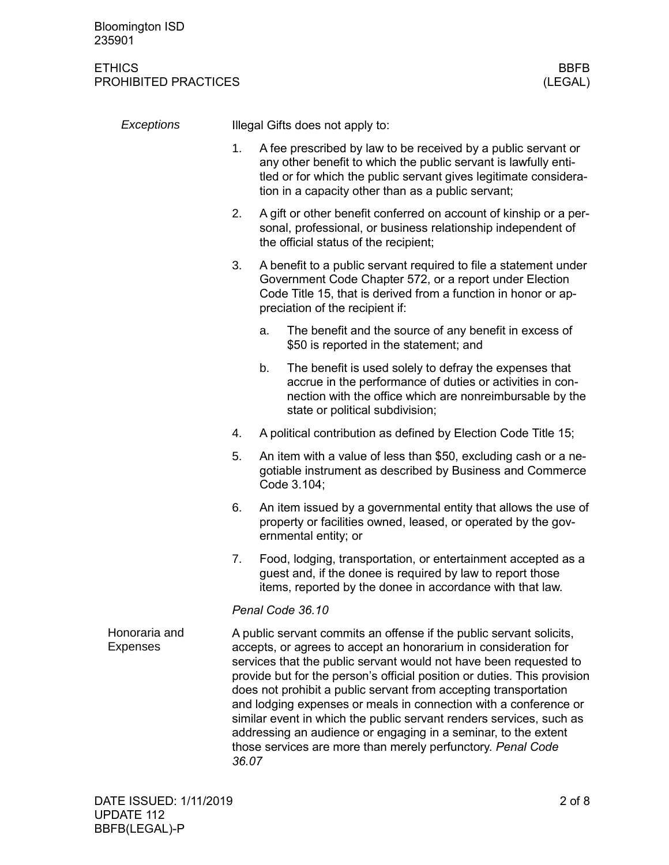## ETHICS BBFB PROHIBITED PRACTICES **Example 20 and 20 and 20 and 20 and 20 and 20 and 20 and 20 and 20 and 20 and 20 and 20 and 20 and 20 and 20 and 20 and 20 and 20 and 20 and 20 and 20 and 20 and 20 and 20 and 20 and 20 and 20 and 20**

| Exceptions                       | Illegal Gifts does not apply to: |                                                                                                                                                                                                                                                                                                                                                                                                                                                                                                                                                                                                                                                  |                                                                                                                                                                                                                                  |  |
|----------------------------------|----------------------------------|--------------------------------------------------------------------------------------------------------------------------------------------------------------------------------------------------------------------------------------------------------------------------------------------------------------------------------------------------------------------------------------------------------------------------------------------------------------------------------------------------------------------------------------------------------------------------------------------------------------------------------------------------|----------------------------------------------------------------------------------------------------------------------------------------------------------------------------------------------------------------------------------|--|
|                                  | 1.                               | A fee prescribed by law to be received by a public servant or<br>any other benefit to which the public servant is lawfully enti-<br>tled or for which the public servant gives legitimate considera-<br>tion in a capacity other than as a public servant;                                                                                                                                                                                                                                                                                                                                                                                       |                                                                                                                                                                                                                                  |  |
|                                  | 2.                               |                                                                                                                                                                                                                                                                                                                                                                                                                                                                                                                                                                                                                                                  | A gift or other benefit conferred on account of kinship or a per-<br>sonal, professional, or business relationship independent of<br>the official status of the recipient;                                                       |  |
|                                  | 3.                               |                                                                                                                                                                                                                                                                                                                                                                                                                                                                                                                                                                                                                                                  | A benefit to a public servant required to file a statement under<br>Government Code Chapter 572, or a report under Election<br>Code Title 15, that is derived from a function in honor or ap-<br>preciation of the recipient if: |  |
|                                  |                                  | a.                                                                                                                                                                                                                                                                                                                                                                                                                                                                                                                                                                                                                                               | The benefit and the source of any benefit in excess of<br>\$50 is reported in the statement; and                                                                                                                                 |  |
|                                  |                                  | b.                                                                                                                                                                                                                                                                                                                                                                                                                                                                                                                                                                                                                                               | The benefit is used solely to defray the expenses that<br>accrue in the performance of duties or activities in con-<br>nection with the office which are nonreimbursable by the<br>state or political subdivision;               |  |
|                                  | 4.                               |                                                                                                                                                                                                                                                                                                                                                                                                                                                                                                                                                                                                                                                  | A political contribution as defined by Election Code Title 15;                                                                                                                                                                   |  |
|                                  | 5.                               | An item with a value of less than \$50, excluding cash or a ne-<br>gotiable instrument as described by Business and Commerce<br>Code 3.104;                                                                                                                                                                                                                                                                                                                                                                                                                                                                                                      |                                                                                                                                                                                                                                  |  |
|                                  | 6.                               |                                                                                                                                                                                                                                                                                                                                                                                                                                                                                                                                                                                                                                                  | An item issued by a governmental entity that allows the use of<br>property or facilities owned, leased, or operated by the gov-<br>ernmental entity; or                                                                          |  |
|                                  | 7.                               | Food, lodging, transportation, or entertainment accepted as a<br>guest and, if the donee is required by law to report those<br>items, reported by the donee in accordance with that law.                                                                                                                                                                                                                                                                                                                                                                                                                                                         |                                                                                                                                                                                                                                  |  |
|                                  |                                  | Penal Code 36.10                                                                                                                                                                                                                                                                                                                                                                                                                                                                                                                                                                                                                                 |                                                                                                                                                                                                                                  |  |
| Honoraria and<br><b>Expenses</b> |                                  | A public servant commits an offense if the public servant solicits,<br>accepts, or agrees to accept an honorarium in consideration for<br>services that the public servant would not have been requested to<br>provide but for the person's official position or duties. This provision<br>does not prohibit a public servant from accepting transportation<br>and lodging expenses or meals in connection with a conference or<br>similar event in which the public servant renders services, such as<br>addressing an audience or engaging in a seminar, to the extent<br>those services are more than merely perfunctory. Penal Code<br>36.07 |                                                                                                                                                                                                                                  |  |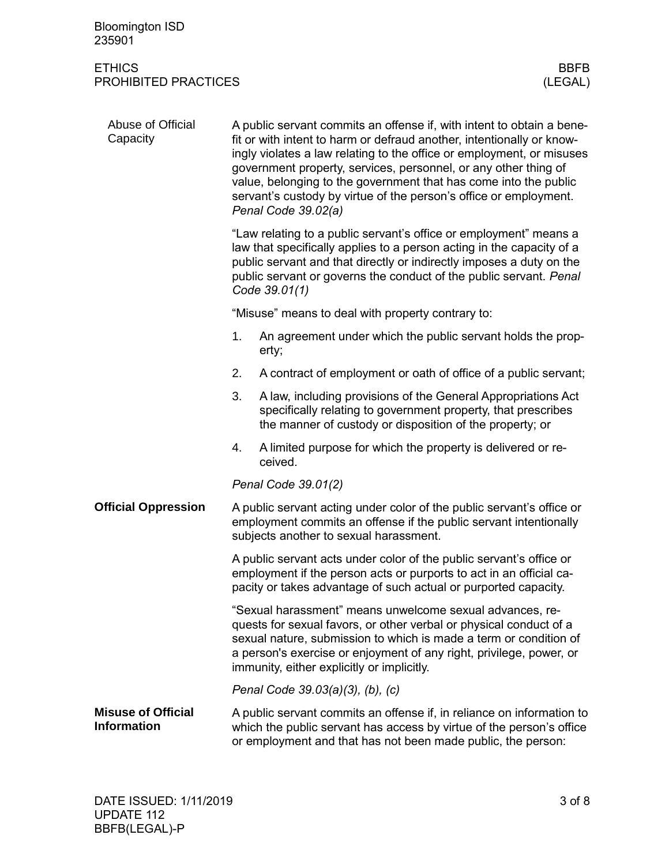| <b>Bloomington ISD</b><br>235901                |                                                                                                                                                                                                                                                                                                                                                                                                                                                            |                                                                                                                                                                                            |  |  |
|-------------------------------------------------|------------------------------------------------------------------------------------------------------------------------------------------------------------------------------------------------------------------------------------------------------------------------------------------------------------------------------------------------------------------------------------------------------------------------------------------------------------|--------------------------------------------------------------------------------------------------------------------------------------------------------------------------------------------|--|--|
| <b>ETHICS</b><br><b>PROHIBITED PRACTICES</b>    |                                                                                                                                                                                                                                                                                                                                                                                                                                                            | <b>BBFB</b><br>(LEGAL)                                                                                                                                                                     |  |  |
| Abuse of Official<br>Capacity                   | A public servant commits an offense if, with intent to obtain a bene-<br>fit or with intent to harm or defraud another, intentionally or know-<br>ingly violates a law relating to the office or employment, or misuses<br>government property, services, personnel, or any other thing of<br>value, belonging to the government that has come into the public<br>servant's custody by virtue of the person's office or employment.<br>Penal Code 39.02(a) |                                                                                                                                                                                            |  |  |
|                                                 | "Law relating to a public servant's office or employment" means a<br>law that specifically applies to a person acting in the capacity of a<br>public servant and that directly or indirectly imposes a duty on the<br>public servant or governs the conduct of the public servant. Penal<br>Code 39.01(1)                                                                                                                                                  |                                                                                                                                                                                            |  |  |
|                                                 | "Misuse" means to deal with property contrary to:                                                                                                                                                                                                                                                                                                                                                                                                          |                                                                                                                                                                                            |  |  |
|                                                 | 1.                                                                                                                                                                                                                                                                                                                                                                                                                                                         | An agreement under which the public servant holds the prop-<br>erty;                                                                                                                       |  |  |
|                                                 | 2.                                                                                                                                                                                                                                                                                                                                                                                                                                                         | A contract of employment or oath of office of a public servant;                                                                                                                            |  |  |
|                                                 | 3.                                                                                                                                                                                                                                                                                                                                                                                                                                                         | A law, including provisions of the General Appropriations Act<br>specifically relating to government property, that prescribes<br>the manner of custody or disposition of the property; or |  |  |
|                                                 | 4.                                                                                                                                                                                                                                                                                                                                                                                                                                                         | A limited purpose for which the property is delivered or re-<br>ceived.                                                                                                                    |  |  |
|                                                 |                                                                                                                                                                                                                                                                                                                                                                                                                                                            | Penal Code 39.01(2)                                                                                                                                                                        |  |  |
| <b>Official Oppression</b>                      | A public servant acting under color of the public servant's office or<br>employment commits an offense if the public servant intentionally<br>subjects another to sexual harassment.                                                                                                                                                                                                                                                                       |                                                                                                                                                                                            |  |  |
|                                                 | A public servant acts under color of the public servant's office or<br>employment if the person acts or purports to act in an official ca-<br>pacity or takes advantage of such actual or purported capacity.                                                                                                                                                                                                                                              |                                                                                                                                                                                            |  |  |
|                                                 | "Sexual harassment" means unwelcome sexual advances, re-<br>quests for sexual favors, or other verbal or physical conduct of a<br>sexual nature, submission to which is made a term or condition of<br>a person's exercise or enjoyment of any right, privilege, power, or<br>immunity, either explicitly or implicitly.                                                                                                                                   |                                                                                                                                                                                            |  |  |
|                                                 |                                                                                                                                                                                                                                                                                                                                                                                                                                                            | Penal Code 39.03(a)(3), (b), (c)                                                                                                                                                           |  |  |
| <b>Misuse of Official</b><br><b>Information</b> | A public servant commits an offense if, in reliance on information to<br>which the public servant has access by virtue of the person's office<br>or employment and that has not been made public, the person:                                                                                                                                                                                                                                              |                                                                                                                                                                                            |  |  |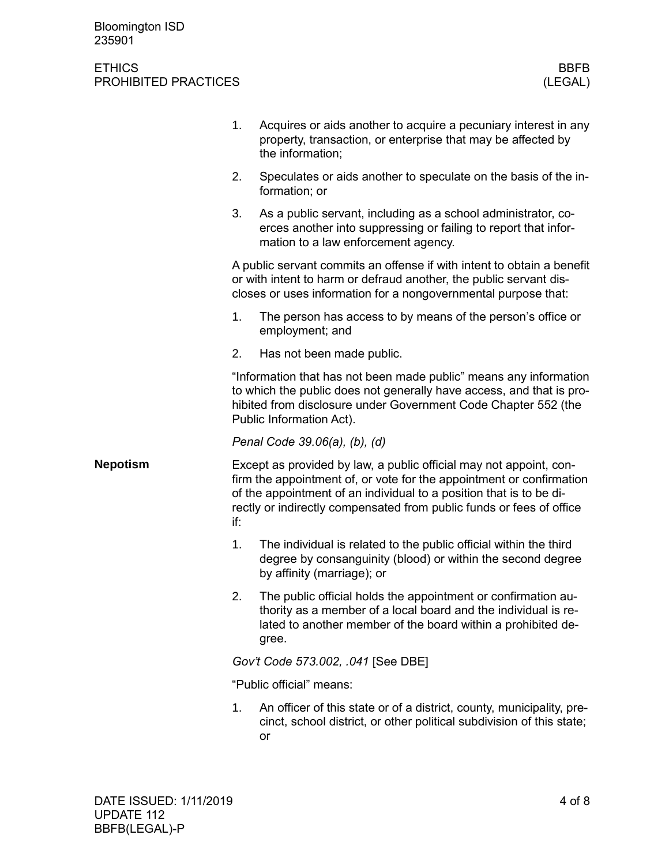## ETHICS BBFB PROHIBITED PRACTICES **Example 20 and 20 and 20 and 20 and 20 and 20 and 20 and 20 and 20 and 20 and 20 and 20 and 20 and 20 and 20 and 20 and 20 and 20 and 20 and 20 and 20 and 20 and 20 and 20 and 20 and 20 and 20 and 20**

|                 | 1.                                                                                                                                                                                                                                                                                               | Acquires or aids another to acquire a pecuniary interest in any<br>property, transaction, or enterprise that may be affected by<br>the information;                                                                                     |  |
|-----------------|--------------------------------------------------------------------------------------------------------------------------------------------------------------------------------------------------------------------------------------------------------------------------------------------------|-----------------------------------------------------------------------------------------------------------------------------------------------------------------------------------------------------------------------------------------|--|
|                 | 2.                                                                                                                                                                                                                                                                                               | Speculates or aids another to speculate on the basis of the in-<br>formation; or                                                                                                                                                        |  |
|                 | 3.                                                                                                                                                                                                                                                                                               | As a public servant, including as a school administrator, co-<br>erces another into suppressing or failing to report that infor-<br>mation to a law enforcement agency.                                                                 |  |
|                 |                                                                                                                                                                                                                                                                                                  | A public servant commits an offense if with intent to obtain a benefit<br>or with intent to harm or defraud another, the public servant dis-<br>closes or uses information for a nongovernmental purpose that:                          |  |
|                 | 1.                                                                                                                                                                                                                                                                                               | The person has access to by means of the person's office or<br>employment; and                                                                                                                                                          |  |
|                 | 2.                                                                                                                                                                                                                                                                                               | Has not been made public.                                                                                                                                                                                                               |  |
|                 |                                                                                                                                                                                                                                                                                                  | "Information that has not been made public" means any information<br>to which the public does not generally have access, and that is pro-<br>hibited from disclosure under Government Code Chapter 552 (the<br>Public Information Act). |  |
|                 |                                                                                                                                                                                                                                                                                                  | Penal Code 39.06(a), (b), (d)                                                                                                                                                                                                           |  |
| <b>Nepotism</b> | Except as provided by law, a public official may not appoint, con-<br>firm the appointment of, or vote for the appointment or confirmation<br>of the appointment of an individual to a position that is to be di-<br>rectly or indirectly compensated from public funds or fees of office<br>if: |                                                                                                                                                                                                                                         |  |
|                 | 1.                                                                                                                                                                                                                                                                                               | The individual is related to the public official within the third<br>degree by consanguinity (blood) or within the second degree<br>by affinity (marriage); or                                                                          |  |
|                 | 2.                                                                                                                                                                                                                                                                                               | The public official holds the appointment or confirmation au-<br>thority as a member of a local board and the individual is re-<br>lated to another member of the board within a prohibited de-<br>gree.                                |  |
|                 | Gov't Code 573.002, .041 [See DBE]                                                                                                                                                                                                                                                               |                                                                                                                                                                                                                                         |  |
|                 | "Public official" means:                                                                                                                                                                                                                                                                         |                                                                                                                                                                                                                                         |  |
|                 | 1.                                                                                                                                                                                                                                                                                               | An officer of this state or of a district, county, municipality, pre-<br>cinct, school district, or other political subdivision of this state;<br>or                                                                                    |  |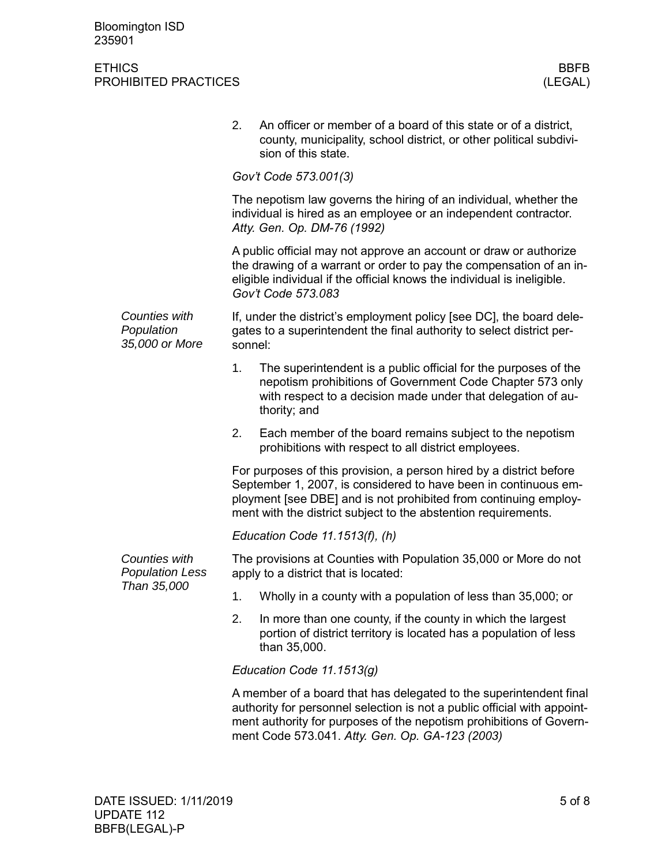| <b>Bloomington ISD</b> |  |
|------------------------|--|
| 235901                 |  |

## ETHICS BBFB PROHIBITED PRACTICES **Example 20** (LEGAL)

|  |                                                        | 2.                                                                                                                                                                                                                                                                           | An officer or member of a board of this state or of a district,<br>county, municipality, school district, or other political subdivi-<br>sion of this state.                                                                                                             |  |  |  |
|--|--------------------------------------------------------|------------------------------------------------------------------------------------------------------------------------------------------------------------------------------------------------------------------------------------------------------------------------------|--------------------------------------------------------------------------------------------------------------------------------------------------------------------------------------------------------------------------------------------------------------------------|--|--|--|
|  |                                                        |                                                                                                                                                                                                                                                                              | Gov't Code 573.001(3)                                                                                                                                                                                                                                                    |  |  |  |
|  |                                                        | The nepotism law governs the hiring of an individual, whether the<br>individual is hired as an employee or an independent contractor.<br>Atty. Gen. Op. DM-76 (1992)                                                                                                         |                                                                                                                                                                                                                                                                          |  |  |  |
|  |                                                        |                                                                                                                                                                                                                                                                              | A public official may not approve an account or draw or authorize<br>the drawing of a warrant or order to pay the compensation of an in-<br>eligible individual if the official knows the individual is ineligible.<br>Gov't Code 573.083                                |  |  |  |
|  | Counties with<br>Population<br>35,000 or More          |                                                                                                                                                                                                                                                                              | If, under the district's employment policy [see DC], the board dele-<br>gates to a superintendent the final authority to select district per-<br>sonnel:                                                                                                                 |  |  |  |
|  |                                                        | 1.                                                                                                                                                                                                                                                                           | The superintendent is a public official for the purposes of the<br>nepotism prohibitions of Government Code Chapter 573 only<br>with respect to a decision made under that delegation of au-<br>thority; and                                                             |  |  |  |
|  |                                                        | 2.                                                                                                                                                                                                                                                                           | Each member of the board remains subject to the nepotism<br>prohibitions with respect to all district employees.                                                                                                                                                         |  |  |  |
|  |                                                        | For purposes of this provision, a person hired by a district before<br>September 1, 2007, is considered to have been in continuous em-<br>ployment [see DBE] and is not prohibited from continuing employ-<br>ment with the district subject to the abstention requirements. |                                                                                                                                                                                                                                                                          |  |  |  |
|  |                                                        |                                                                                                                                                                                                                                                                              | Education Code 11.1513(f), (h)                                                                                                                                                                                                                                           |  |  |  |
|  | Counties with<br><b>Population Less</b><br>Than 35,000 | The provisions at Counties with Population 35,000 or More do not<br>apply to a district that is located:                                                                                                                                                                     |                                                                                                                                                                                                                                                                          |  |  |  |
|  |                                                        | 1.                                                                                                                                                                                                                                                                           | Wholly in a county with a population of less than 35,000; or                                                                                                                                                                                                             |  |  |  |
|  |                                                        | 2.                                                                                                                                                                                                                                                                           | In more than one county, if the county in which the largest<br>portion of district territory is located has a population of less<br>than 35,000.                                                                                                                         |  |  |  |
|  |                                                        | Education Code 11.1513(g)                                                                                                                                                                                                                                                    |                                                                                                                                                                                                                                                                          |  |  |  |
|  |                                                        |                                                                                                                                                                                                                                                                              | A member of a board that has delegated to the superintendent final<br>authority for personnel selection is not a public official with appoint-<br>ment authority for purposes of the nepotism prohibitions of Govern-<br>ment Code 573.041. Atty. Gen. Op. GA-123 (2003) |  |  |  |
|  |                                                        |                                                                                                                                                                                                                                                                              |                                                                                                                                                                                                                                                                          |  |  |  |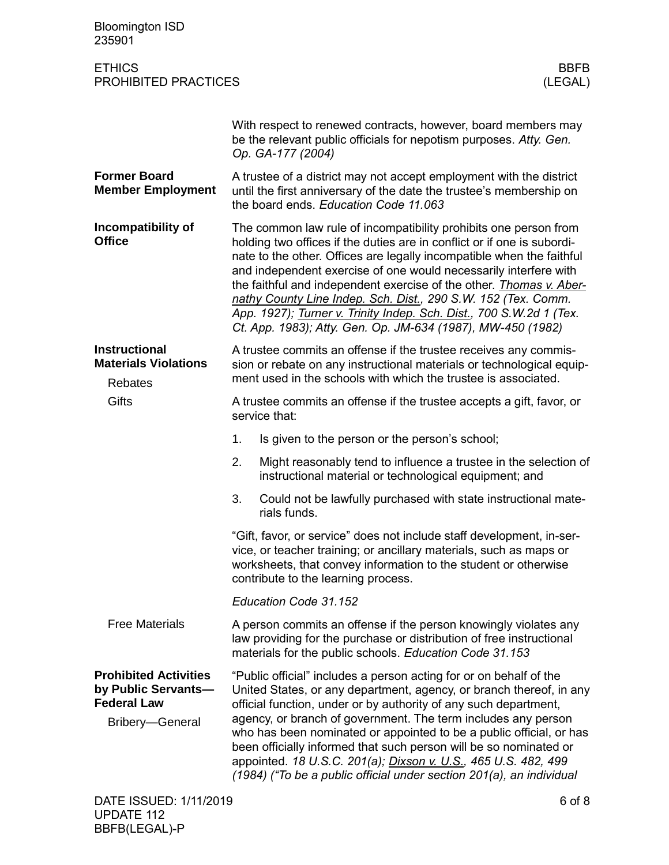| <b>Bloomington ISD</b><br>235901                                                             |                                                                                                                                                                                                                                                                                                                                                                                                                                                                                                                                                                               |                                                                                                                                                                                                                                                       |  |  |  |
|----------------------------------------------------------------------------------------------|-------------------------------------------------------------------------------------------------------------------------------------------------------------------------------------------------------------------------------------------------------------------------------------------------------------------------------------------------------------------------------------------------------------------------------------------------------------------------------------------------------------------------------------------------------------------------------|-------------------------------------------------------------------------------------------------------------------------------------------------------------------------------------------------------------------------------------------------------|--|--|--|
| <b>ETHICS</b><br><b>BBFB</b><br>PROHIBITED PRACTICES<br>(LEGAL)                              |                                                                                                                                                                                                                                                                                                                                                                                                                                                                                                                                                                               |                                                                                                                                                                                                                                                       |  |  |  |
|                                                                                              |                                                                                                                                                                                                                                                                                                                                                                                                                                                                                                                                                                               | With respect to renewed contracts, however, board members may<br>be the relevant public officials for nepotism purposes. Atty. Gen.<br>Op. GA-177 (2004)                                                                                              |  |  |  |
| <b>Former Board</b><br><b>Member Employment</b>                                              | A trustee of a district may not accept employment with the district<br>until the first anniversary of the date the trustee's membership on<br>the board ends. Education Code 11.063                                                                                                                                                                                                                                                                                                                                                                                           |                                                                                                                                                                                                                                                       |  |  |  |
| Incompatibility of<br><b>Office</b>                                                          | The common law rule of incompatibility prohibits one person from<br>holding two offices if the duties are in conflict or if one is subordi-<br>nate to the other. Offices are legally incompatible when the faithful<br>and independent exercise of one would necessarily interfere with<br>the faithful and independent exercise of the other. <i>Thomas v. Aber-</i><br>nathy County Line Indep. Sch. Dist., 290 S.W. 152 (Tex. Comm.<br>App. 1927); Turner v. Trinity Indep. Sch. Dist., 700 S.W.2d 1 (Tex.<br>Ct. App. 1983); Atty. Gen. Op. JM-634 (1987), MW-450 (1982) |                                                                                                                                                                                                                                                       |  |  |  |
| <b>Instructional</b><br><b>Materials Violations</b><br><b>Rebates</b>                        | A trustee commits an offense if the trustee receives any commis-<br>sion or rebate on any instructional materials or technological equip-<br>ment used in the schools with which the trustee is associated.                                                                                                                                                                                                                                                                                                                                                                   |                                                                                                                                                                                                                                                       |  |  |  |
| <b>Gifts</b>                                                                                 | A trustee commits an offense if the trustee accepts a gift, favor, or<br>service that:                                                                                                                                                                                                                                                                                                                                                                                                                                                                                        |                                                                                                                                                                                                                                                       |  |  |  |
|                                                                                              | 1.                                                                                                                                                                                                                                                                                                                                                                                                                                                                                                                                                                            | Is given to the person or the person's school;                                                                                                                                                                                                        |  |  |  |
|                                                                                              | 2.                                                                                                                                                                                                                                                                                                                                                                                                                                                                                                                                                                            | Might reasonably tend to influence a trustee in the selection of<br>instructional material or technological equipment; and                                                                                                                            |  |  |  |
|                                                                                              | 3.                                                                                                                                                                                                                                                                                                                                                                                                                                                                                                                                                                            | Could not be lawfully purchased with state instructional mate-<br>rials funds.                                                                                                                                                                        |  |  |  |
|                                                                                              |                                                                                                                                                                                                                                                                                                                                                                                                                                                                                                                                                                               | "Gift, favor, or service" does not include staff development, in-ser-<br>vice, or teacher training; or ancillary materials, such as maps or<br>worksheets, that convey information to the student or otherwise<br>contribute to the learning process. |  |  |  |
|                                                                                              |                                                                                                                                                                                                                                                                                                                                                                                                                                                                                                                                                                               | Education Code 31.152                                                                                                                                                                                                                                 |  |  |  |
| <b>Free Materials</b>                                                                        | A person commits an offense if the person knowingly violates any<br>law providing for the purchase or distribution of free instructional<br>materials for the public schools. Education Code 31.153                                                                                                                                                                                                                                                                                                                                                                           |                                                                                                                                                                                                                                                       |  |  |  |
| <b>Prohibited Activities</b><br>by Public Servants-<br><b>Federal Law</b><br>Bribery-General | "Public official" includes a person acting for or on behalf of the<br>United States, or any department, agency, or branch thereof, in any<br>official function, under or by authority of any such department,<br>agency, or branch of government. The term includes any person<br>who has been nominated or appointed to be a public official, or has<br>been officially informed that such person will be so nominated or<br>appointed. 18 U.S.C. 201(a); Dixson v. U.S., 465 U.S. 482, 499<br>(1984) ("To be a public official under section 201(a), an individual          |                                                                                                                                                                                                                                                       |  |  |  |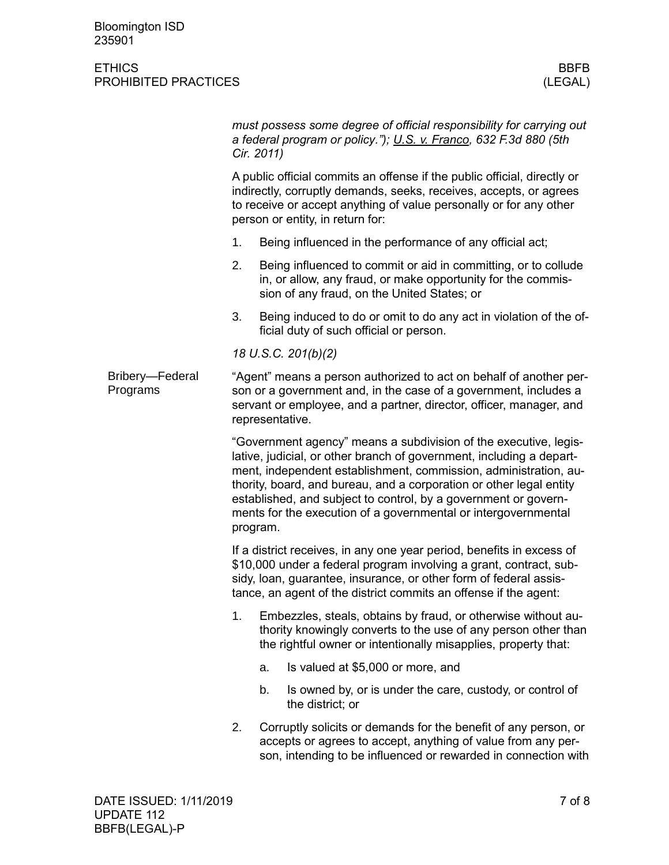## ETHICS BBFB PROHIBITED PRACTICES **Example 20 and 20 and 20 and 20 and 20 and 20 and 20 and 20 and 20 and 20 and 20 and 20 and 20 and 20 and 20 and 20 and 20 and 20 and 20 and 20 and 20 and 20 and 20 and 20 and 20 and 20 and 20 and 20**

|                             | must possess some degree of official responsibility for carrying out<br>a federal program or policy."); U.S. v. Franco, 632 F.3d 880 (5th<br>Cir. 2011)                                                                                                                                                                                                                                                                              |                                                                                                                                                                                                                                                                                      |                                                                                                                                                                                                   |  |  |  |
|-----------------------------|--------------------------------------------------------------------------------------------------------------------------------------------------------------------------------------------------------------------------------------------------------------------------------------------------------------------------------------------------------------------------------------------------------------------------------------|--------------------------------------------------------------------------------------------------------------------------------------------------------------------------------------------------------------------------------------------------------------------------------------|---------------------------------------------------------------------------------------------------------------------------------------------------------------------------------------------------|--|--|--|
|                             | A public official commits an offense if the public official, directly or<br>indirectly, corruptly demands, seeks, receives, accepts, or agrees<br>to receive or accept anything of value personally or for any other<br>person or entity, in return for:                                                                                                                                                                             |                                                                                                                                                                                                                                                                                      |                                                                                                                                                                                                   |  |  |  |
|                             | 1.                                                                                                                                                                                                                                                                                                                                                                                                                                   |                                                                                                                                                                                                                                                                                      | Being influenced in the performance of any official act;                                                                                                                                          |  |  |  |
|                             | 2.                                                                                                                                                                                                                                                                                                                                                                                                                                   |                                                                                                                                                                                                                                                                                      | Being influenced to commit or aid in committing, or to collude<br>in, or allow, any fraud, or make opportunity for the commis-<br>sion of any fraud, on the United States; or                     |  |  |  |
|                             | 3.                                                                                                                                                                                                                                                                                                                                                                                                                                   |                                                                                                                                                                                                                                                                                      | Being induced to do or omit to do any act in violation of the of-<br>ficial duty of such official or person.                                                                                      |  |  |  |
|                             |                                                                                                                                                                                                                                                                                                                                                                                                                                      | 18 U.S.C. 201(b)(2)                                                                                                                                                                                                                                                                  |                                                                                                                                                                                                   |  |  |  |
| Bribery-Federal<br>Programs | "Agent" means a person authorized to act on behalf of another per-<br>son or a government and, in the case of a government, includes a<br>servant or employee, and a partner, director, officer, manager, and<br>representative.                                                                                                                                                                                                     |                                                                                                                                                                                                                                                                                      |                                                                                                                                                                                                   |  |  |  |
|                             | "Government agency" means a subdivision of the executive, legis-<br>lative, judicial, or other branch of government, including a depart-<br>ment, independent establishment, commission, administration, au-<br>thority, board, and bureau, and a corporation or other legal entity<br>established, and subject to control, by a government or govern-<br>ments for the execution of a governmental or intergovernmental<br>program. |                                                                                                                                                                                                                                                                                      |                                                                                                                                                                                                   |  |  |  |
|                             |                                                                                                                                                                                                                                                                                                                                                                                                                                      | If a district receives, in any one year period, benefits in excess of<br>\$10,000 under a federal program involving a grant, contract, sub-<br>sidy, loan, guarantee, insurance, or other form of federal assis-<br>tance, an agent of the district commits an offense if the agent: |                                                                                                                                                                                                   |  |  |  |
|                             | 1.                                                                                                                                                                                                                                                                                                                                                                                                                                   |                                                                                                                                                                                                                                                                                      | Embezzles, steals, obtains by fraud, or otherwise without au-<br>thority knowingly converts to the use of any person other than<br>the rightful owner or intentionally misapplies, property that: |  |  |  |
|                             |                                                                                                                                                                                                                                                                                                                                                                                                                                      | a.                                                                                                                                                                                                                                                                                   | Is valued at \$5,000 or more, and                                                                                                                                                                 |  |  |  |
|                             |                                                                                                                                                                                                                                                                                                                                                                                                                                      | b.                                                                                                                                                                                                                                                                                   | Is owned by, or is under the care, custody, or control of<br>the district; or                                                                                                                     |  |  |  |
|                             | 2.                                                                                                                                                                                                                                                                                                                                                                                                                                   |                                                                                                                                                                                                                                                                                      | Corruptly solicits or demands for the benefit of any person, or<br>accepts or agrees to accept, anything of value from any per-<br>son, intending to be influenced or rewarded in connection with |  |  |  |